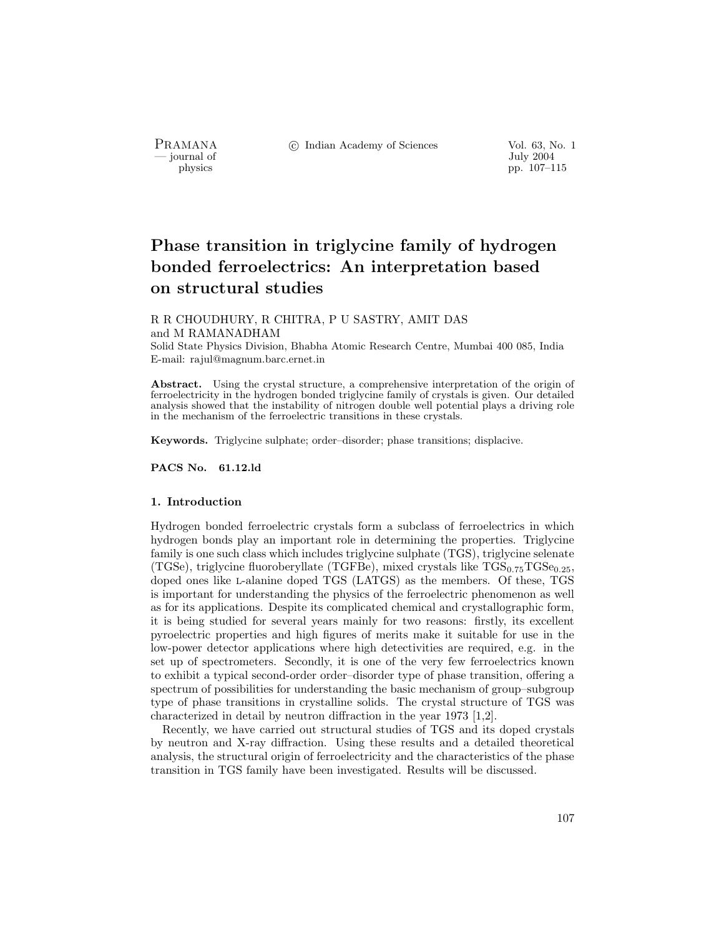- journal of<br>physics

PRAMANA °c Indian Academy of Sciences Vol. 63, No. 1 pp. 107–115

# Phase transition in triglycine family of hydrogen bonded ferroelectrics: An interpretation based on structural studies

# R R CHOUDHURY, R CHITRA, P U SASTRY, AMIT DAS and M RAMANADHAM

Solid State Physics Division, Bhabha Atomic Research Centre, Mumbai 400 085, India E-mail: rajul@magnum.barc.ernet.in

Abstract. Using the crystal structure, a comprehensive interpretation of the origin of ferroelectricity in the hydrogen bonded triglycine family of crystals is given. Our detailed analysis showed that the instability of nitrogen double well potential plays a driving role in the mechanism of the ferroelectric transitions in these crystals.

Keywords. Triglycine sulphate; order–disorder; phase transitions; displacive.

### PACS No. 61.12.ld

# 1. Introduction

Hydrogen bonded ferroelectric crystals form a subclass of ferroelectrics in which hydrogen bonds play an important role in determining the properties. Triglycine family is one such class which includes triglycine sulphate (TGS), triglycine selenate (TGSe), triglycine fluoroberyllate (TGFBe), mixed crystals like  $TGS_{0.75}TGS_{0.25}$ , doped ones like l-alanine doped TGS (LATGS) as the members. Of these, TGS is important for understanding the physics of the ferroelectric phenomenon as well as for its applications. Despite its complicated chemical and crystallographic form, it is being studied for several years mainly for two reasons: firstly, its excellent pyroelectric properties and high figures of merits make it suitable for use in the low-power detector applications where high detectivities are required, e.g. in the set up of spectrometers. Secondly, it is one of the very few ferroelectrics known to exhibit a typical second-order order–disorder type of phase transition, offering a spectrum of possibilities for understanding the basic mechanism of group–subgroup type of phase transitions in crystalline solids. The crystal structure of TGS was characterized in detail by neutron diffraction in the year 1973 [1,2].

Recently, we have carried out structural studies of TGS and its doped crystals by neutron and X-ray diffraction. Using these results and a detailed theoretical analysis, the structural origin of ferroelectricity and the characteristics of the phase transition in TGS family have been investigated. Results will be discussed.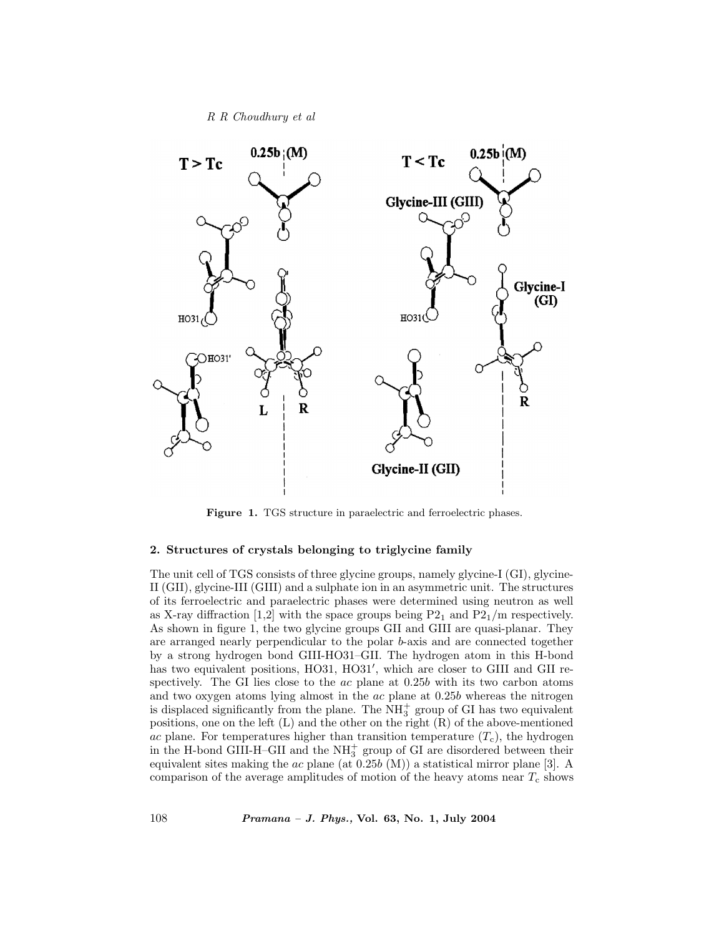R R Choudhury et al



Figure 1. TGS structure in paraelectric and ferroelectric phases.

### 2. Structures of crystals belonging to triglycine family

The unit cell of TGS consists of three glycine groups, namely glycine-I (GI), glycine-II (GII), glycine-III (GIII) and a sulphate ion in an asymmetric unit. The structures of its ferroelectric and paraelectric phases were determined using neutron as well as X-ray diffraction [1,2] with the space groups being  $P2<sub>1</sub>$  and  $P2<sub>1</sub>/m$  respectively. As shown in figure 1, the two glycine groups GII and GIII are quasi-planar. They are arranged nearly perpendicular to the polar b-axis and are connected together by a strong hydrogen bond GIII-HO31–GII. The hydrogen atom in this H-bond has two equivalent positions, HO31, HO31', which are closer to GIII and GII respectively. The GI lies close to the  $ac$  plane at 0.25b with its two carbon atoms and two oxygen atoms lying almost in the  $ac$  plane at  $0.25b$  whereas the nitrogen is displaced significantly from the plane. The  $\text{NH}_3^+$  group of GI has two equivalent positions, one on the left  $(L)$  and the other on the right  $(R)$  of the above-mentioned ac plane. For temperatures higher than transition temperature  $(T_c)$ , the hydrogen in the H-bond GIII-H-GII and the  $NH_3^+$  group of GI are disordered between their equivalent sites making the ac plane (at  $0.25b$  (M)) a statistical mirror plane [3]. A comparison of the average amplitudes of motion of the heavy atoms near  $T_c$  shows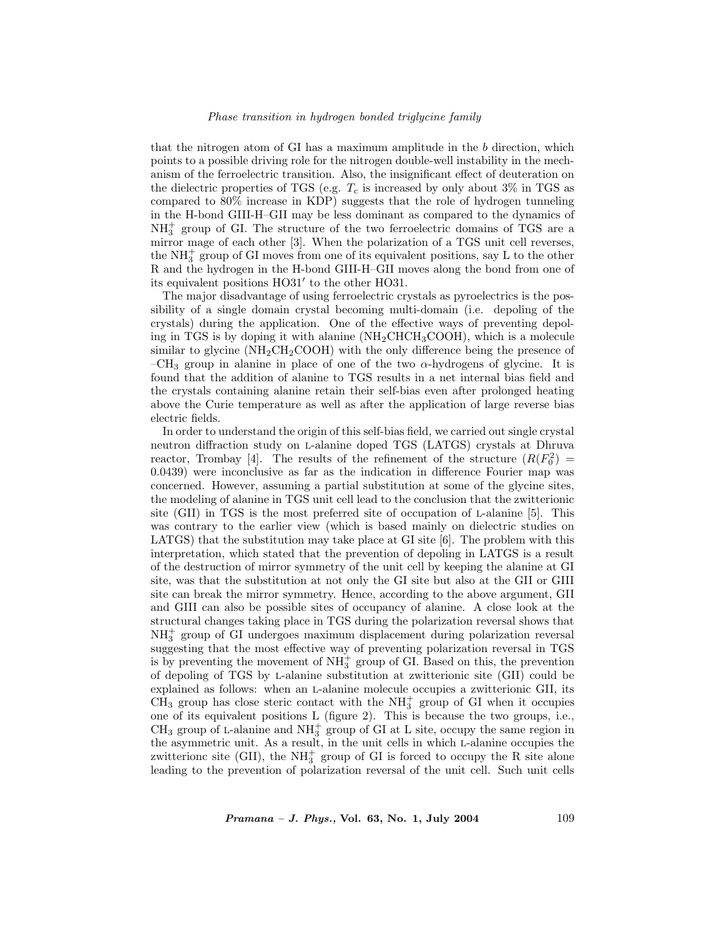that the nitrogen atom of GI has a maximum amplitude in the b direction, which points to a possible driving role for the nitrogen double-well instability in the mechanism of the ferroelectric transition. Also, the insignificant effect of deuteration on the dielectric properties of TGS (e.g.  $T_c$  is increased by only about 3% in TGS as compared to 80% increase in KDP) suggests that the role of hydrogen tunneling in the H-bond GIII-H–GII may be less dominant as compared to the dynamics of  $NH<sub>3</sub><sup>+</sup>$  group of GI. The structure of the two ferroelectric domains of TGS are a mirror mage of each other [3]. When the polarization of a TGS unit cell reverses, the NH<sub>3</sub> group of GI moves from one of its equivalent positions, say L to the other R and the hydrogen in the H-bond GIII-H–GII moves along the bond from one of its equivalent positions  $HO31'$  to the other HO31.

The major disadvantage of using ferroelectric crystals as pyroelectrics is the possibility of a single domain crystal becoming multi-domain (i.e. depoling of the crystals) during the application. One of the effective ways of preventing depoling in TGS is by doping it with alanine  $(NH_2CHCH_3COOH)$ , which is a molecule similar to glycine ( $NH<sub>2</sub>CH<sub>2</sub>COOH$ ) with the only difference being the presence of  $-CH_3$  group in alanine in place of one of the two  $\alpha$ -hydrogens of glycine. It is found that the addition of alanine to TGS results in a net internal bias field and the crystals containing alanine retain their self-bias even after prolonged heating above the Curie temperature as well as after the application of large reverse bias electric fields.

In order to understand the origin of this self-bias field, we carried out single crystal neutron diffraction study on l-alanine doped TGS (LATGS) crystals at Dhruva reactor, Trombay [4]. The results of the refinement of the structure  $(R(F_0^2)$ 0.0439) were inconclusive as far as the indication in difference Fourier map was concerned. However, assuming a partial substitution at some of the glycine sites, the modeling of alanine in TGS unit cell lead to the conclusion that the zwitterionic site (GII) in TGS is the most preferred site of occupation of l-alanine [5]. This was contrary to the earlier view (which is based mainly on dielectric studies on LATGS) that the substitution may take place at GI site [6]. The problem with this interpretation, which stated that the prevention of depoling in LATGS is a result of the destruction of mirror symmetry of the unit cell by keeping the alanine at GI site, was that the substitution at not only the GI site but also at the GII or GIII site can break the mirror symmetry. Hence, according to the above argument, GII and GIII can also be possible sites of occupancy of alanine. A close look at the structural changes taking place in TGS during the polarization reversal shows that NH<sup>+</sup> <sup>3</sup> group of GI undergoes maximum displacement during polarization reversal suggesting that the most effective way of preventing polarization reversal in TGS is by preventing the movement of  $NH_3^+$  group of GI. Based on this, the prevention of depoling of TGS by l-alanine substitution at zwitterionic site (GII) could be explained as follows: when an l-alanine molecule occupies a zwitterionic GII, its  $\overline{CH}_3$  group has close steric contact with the NH<sub>3</sub><sup>+</sup> group of GI when it occupies one of its equivalent positions L (figure 2). This is because the two groups, i.e.,  $CH_3$  group of L-alanine and  $NH_3^+$  group of GI at L site, occupy the same region in the asymmetric unit. As a result, in the unit cells in which l-alanine occupies the zwitterionc site (GII), the  $NH_3^+$  group of GI is forced to occupy the R site alone leading to the prevention of polarization reversal of the unit cell. Such unit cells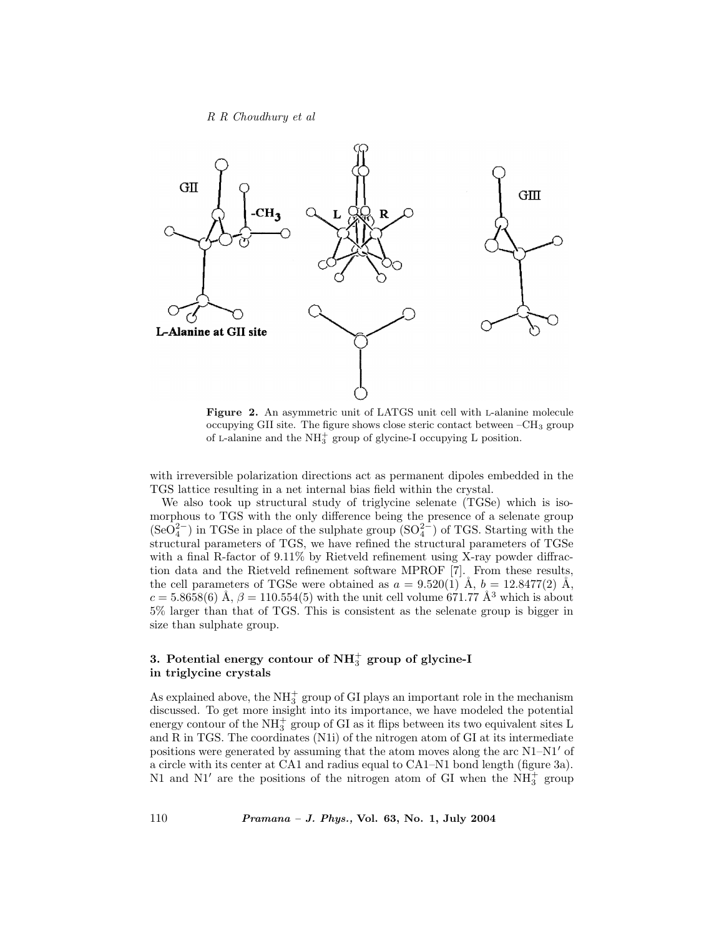R R Choudhury et al



Figure 2. An asymmetric unit of LATGS unit cell with l-alanine molecule occupying GII site. The figure shows close steric contact between  $-CH_3$  group of L-alanine and the  $\mathrm{NH}_3^+$  group of glycine-I occupying L position.

with irreversible polarization directions act as permanent dipoles embedded in the TGS lattice resulting in a net internal bias field within the crystal.

We also took up structural study of triglycine selenate (TGSe) which is isomorphous to TGS with the only difference being the presence of a selenate group  $(\text{SeO}_4^{2-})$  in TGSe in place of the sulphate group  $(\text{SO}_4^{2-})$  of TGS. Starting with the structural parameters of TGS, we have refined the structural parameters of TGSe with a final R-factor of  $9.11\%$  by Rietveld refinement using X-ray powder diffraction data and the Rietveld refinement software MPROF [7]. From these results, the cell parameters of TGSe were obtained as  $a = 9.520(1)$  Å,  $b = 12.8477(2)$  Å,  $c = 5.8658(6)$  Å,  $\beta = 110.554(5)$  with the unit cell volume 671.77 Å<sup>3</sup> which is about 5% larger than that of TGS. This is consistent as the selenate group is bigger in size than sulphate group.

# 3. Potential energy contour of  $NH_3^+$  group of glycine-I in triglycine crystals

As explained above, the  $NH_3^+$  group of GI plays an important role in the mechanism discussed. To get more insight into its importance, we have modeled the potential energy contour of the NH<sub>3</sub><sup>+</sup> group of GI as it flips between its two equivalent sites L and R in TGS. The coordinates (N1i) of the nitrogen atom of GI at its intermediate positions were generated by assuming that the atom moves along the arc  $N1-N1'$  of a circle with its center at CA1 and radius equal to CA1–N1 bond length (figure 3a). N1 and N1<sup>'</sup> are the positions of the nitrogen atom of GI when the  $NH_3^+$  group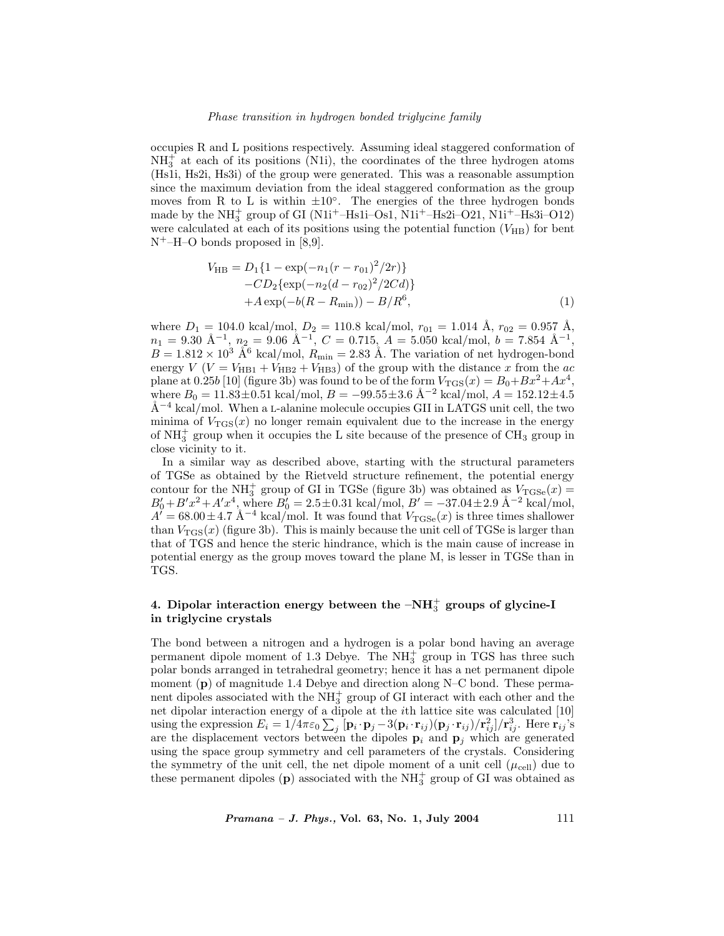occupies R and L positions respectively. Assuming ideal staggered conformation of  $NH_3^+$  at each of its positions (N1i), the coordinates of the three hydrogen atoms (Hs1i, Hs2i, Hs3i) of the group were generated. This was a reasonable assumption since the maximum deviation from the ideal staggered conformation as the group moves from R to L is within  $\pm 10^\circ$ . The energies of the three hydrogen bonds made by the NH<sup>+</sup> group of GI (N1i<sup>+</sup>–Hs1i–Os1, N1i<sup>+</sup>–Hs2i–O21, N1i<sup>+</sup>–Hs3i–O12) were calculated at each of its positions using the potential function  $(V_{\text{HB}})$  for bent  $N^+$ –H–O bonds proposed in [8,9].

$$
V_{\rm HB} = D_1 \{ 1 - \exp(-n_1(r - r_{01})^2/2r) \}
$$
  
-
$$
-CD_2 \{ \exp(-n_2(d - r_{02})^2/2Cd) \}
$$
  
+
$$
A \exp(-b(R - R_{\min})) - B/R^6,
$$
 (1)

where  $D_1 = 104.0 \text{ kcal/mol}, D_2 = 110.8 \text{ kcal/mol}, r_{01} = 1.014 \text{ Å}, r_{02} = 0.957 \text{ Å},$  $n_1 = 9.30 \text{ Å}^{-1}, n_2 = 9.06 \text{ Å}^{-1}, C = 0.715, A = 5.050 \text{ kcal/mol}, b = 7.854 \text{ Å}^{-1},$  $B = 1.812 \times 10^3$  Å<sup>6</sup> kcal/mol,  $R_{\text{min}} = 2.83$  Å. The variation of net hydrogen-bond energy  $V (V = V_{\text{HB1}} + V_{\text{HB2}} + V_{\text{HB3}})$  of the group with the distance x from the ac plane at 0.25b [10] (figure 3b) was found to be of the form  $V_{\text{TGS}}(x) = B_0 + Bx^2 + Ax^4$ , where  $B_0 = 11.83 \pm 0.51$  kcal/mol,  $B = -99.55 \pm 3.6$  Å<sup>-2</sup> kcal/mol,  $A = 152.12 \pm 4.5$  Å<sup>-4</sup> kcal/mol. When a L-alanine molecule occupies GII in LATGS unit cell, the two minima of  $V_{\text{TGS}}(x)$  no longer remain equivalent due to the increase in the energy of  $NH_3^+$  group when it occupies the L site because of the presence of  $CH_3$  group in close vicinity to it.

In a similar way as described above, starting with the structural parameters of TGSe as obtained by the Rietveld structure refinement, the potential energy contour for the NH<sub>3</sub><sup>+</sup> group of GI in TGSe (figure 3b) was obtained as  $V_{\text{TCSe}}(x) =$  $B'_0 + B'x^2 + A'x^4$ , where  $B'_0 = 2.5 \pm 0.31$  kcal/mol,  $B' = -37.04 \pm 2.9$  Å<sup>-2</sup> kcal/mol,  $A^{\prime} = 68.00 \pm 4.7$  Å<sup>-4</sup> kcal/mol. It was found that  $V_{\text{TGSe}}(x)$  is three times shallower than  $V_{TGS}(x)$  (figure 3b). This is mainly because the unit cell of TGSe is larger than that of TGS and hence the steric hindrance, which is the main cause of increase in potential energy as the group moves toward the plane M, is lesser in TGSe than in TGS.

# 4. Dipolar interaction energy between the  $-\mathrm{NH}_3^+$  groups of glycine-I in triglycine crystals

The bond between a nitrogen and a hydrogen is a polar bond having an average permanent dipole moment of 1.3 Debye. The  $NH_3^+$  group in TGS has three such polar bonds arranged in tetrahedral geometry; hence it has a net permanent dipole moment (p) of magnitude 1.4 Debye and direction along N–C bond. These permanent dipoles associated with the  $\text{NH}_3^+$  group of GI interact with each other and the net dipolar interaction energy of a dipole at the ith lattice site was calculated [10] using the expression  $E_i = 1/4\pi\varepsilon_0 \sum_j [\mathbf{p}_i \cdot \mathbf{p}_j - 3(\mathbf{p}_i \cdot \mathbf{r}_{ij})(\mathbf{p}_j \cdot \mathbf{r}_{ij})/\mathbf{r}_{ij}^2]/\mathbf{r}_{ij}^3$ . Here  $\mathbf{r}_{ij}$ 's are the displacement vectors between the dipoles  ${\bf p}_i$  and  ${\bf p}_j$  which are generated using the space group symmetry and cell parameters of the crystals. Considering the symmetry of the unit cell, the net dipole moment of a unit cell  $(\mu_{cell})$  due to these permanent dipoles  $(p)$  associated with the NH<sub>3</sub><sup>+</sup> group of GI was obtained as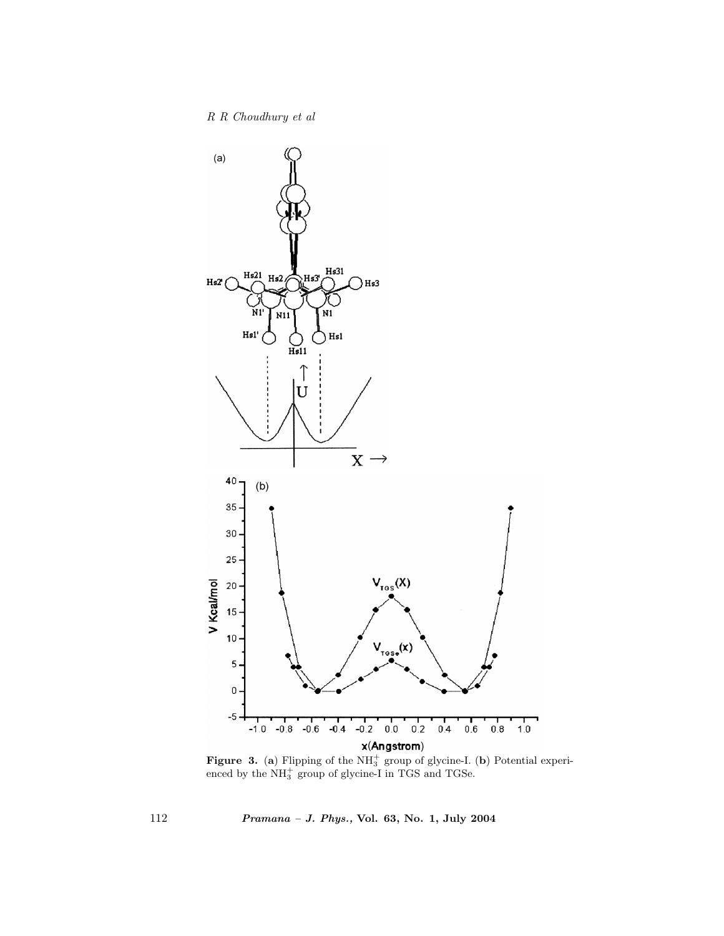R R Choudhury et al



**Figure 3.** (a) Flipping of the  $NH_3^+$  group of glycine-I. (b) Potential experienced by the  $NH_3^+$  group of glycine-I in TGS and TGSe.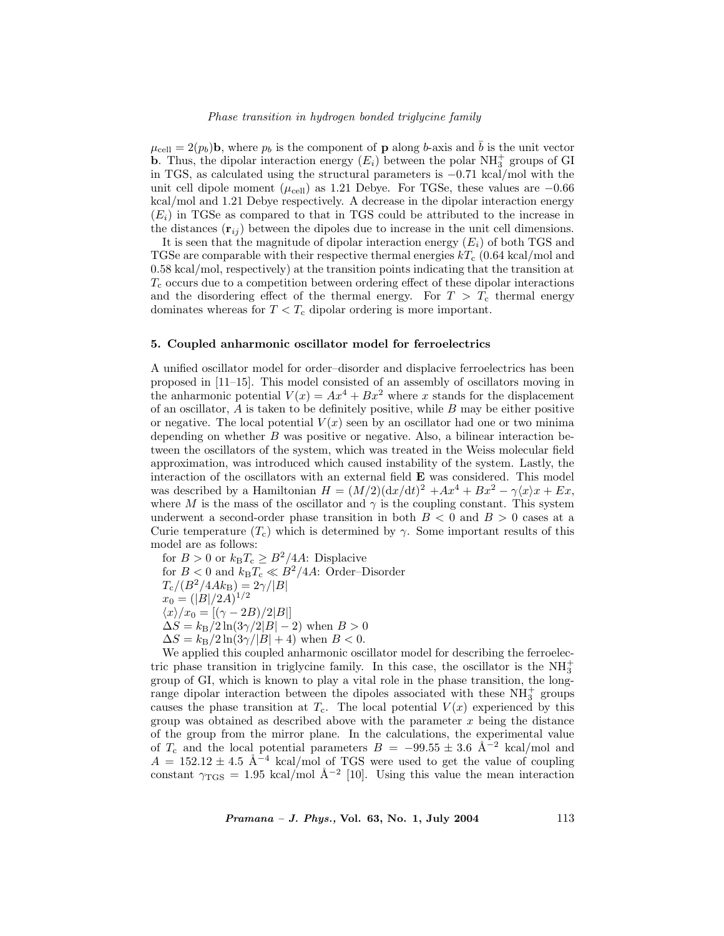$\mu_{cell} = 2(p_b)$ **b**, where  $p_b$  is the component of **p** along b-axis and  $\bar{b}$  is the unit vector **b.** Thus, the dipolar interaction energy  $(E_i)$  between the polar NH<sub>3</sub><sup>+</sup> groups of GI in TGS, as calculated using the structural parameters is −0.71 kcal/mol with the unit cell dipole moment ( $\mu_{cell}$ ) as 1.21 Debye. For TGSe, these values are  $-0.66$ kcal/mol and 1.21 Debye respectively. A decrease in the dipolar interaction energy  $(E_i)$  in TGSe as compared to that in TGS could be attributed to the increase in the distances  $(r_{ij})$  between the dipoles due to increase in the unit cell dimensions.

It is seen that the magnitude of dipolar interaction energy  $(E_i)$  of both TGS and TGSe are comparable with their respective thermal energies  $kT_c$  (0.64 kcal/mol and 0.58 kcal/mol, respectively) at the transition points indicating that the transition at  $T_c$  occurs due to a competition between ordering effect of these dipolar interactions and the disordering effect of the thermal energy. For  $T > T_c$  thermal energy dominates whereas for  $T < T_c$  dipolar ordering is more important.

### 5. Coupled anharmonic oscillator model for ferroelectrics

A unified oscillator model for order–disorder and displacive ferroelectrics has been proposed in [11–15]. This model consisted of an assembly of oscillators moving in the anharmonic potential  $V(x) = Ax^4 + Bx^2$  where x stands for the displacement of an oscillator,  $A$  is taken to be definitely positive, while  $B$  may be either positive or negative. The local potential  $V(x)$  seen by an oscillator had one or two minima depending on whether  $B$  was positive or negative. Also, a bilinear interaction between the oscillators of the system, which was treated in the Weiss molecular field approximation, was introduced which caused instability of the system. Lastly, the interaction of the oscillators with an external field E was considered. This model was described by a Hamiltonian  $H = (M/2)(dx/dt)^2 + Ax^4 + Bx^2 - \gamma \langle x \rangle x + Ex$ , where M is the mass of the oscillator and  $\gamma$  is the coupling constant. This system underwent a second-order phase transition in both  $B < 0$  and  $B > 0$  cases at a Curie temperature  $(T_c)$  which is determined by  $\gamma$ . Some important results of this model are as follows:

for  $B > 0$  or  $k_{\text{B}}T_{\text{c}} \geq B^2/4A$ : Displacive for  $B < 0$  and  $k_BT_c \ll B^2/4A$ : Order–Disorder  $T_{\rm c}/(B^2/4Ak_{\rm B}) = 2\gamma/|B|$  $x_0 = (|B|/2A)^{1/2}$  $\langle x \rangle/x_0 = [(\gamma - 2B)/2|B|]$  $\Delta S = k_B/2 \ln(3\gamma/2|B| - 2)$  when  $B > 0$  $\Delta S = k_B/2 \ln(3\gamma/|B| + 4)$  when  $B < 0$ .

We applied this coupled anharmonic oscillator model for describing the ferroelectric phase transition in triglycine family. In this case, the oscillator is the  $NH_3^+$ group of GI, which is known to play a vital role in the phase transition, the longrange dipolar interaction between the dipoles associated with these  $NH<sub>3</sub><sup>+</sup>$  groups causes the phase transition at  $T_c$ . The local potential  $V(x)$  experienced by this group was obtained as described above with the parameter  $x$  being the distance of the group from the mirror plane. In the calculations, the experimental value of  $T_c$  and the local potential parameters  $B = -99.55 \pm 3.6$  Å<sup>-2</sup> kcal/mol and  $A = 152.12 \pm 4.5$  Å<sup>-4</sup> kcal/mol of TGS were used to get the value of coupling constant  $\gamma_{\rm TGS} = 1.95$  kcal/mol  $\rm \AA^{-2}$  [10]. Using this value the mean interaction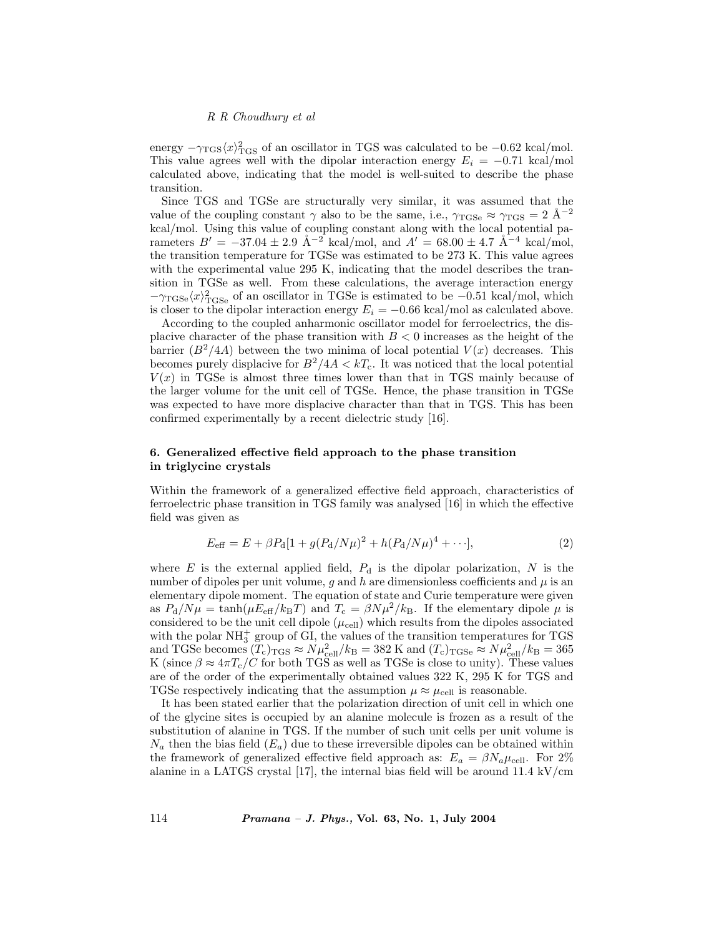### R R Choudhury et al

energy  $-\gamma_{\rm TGS}\langle x \rangle_{\rm TGS}^2$  of an oscillator in TGS was calculated to be  $-0.62$  kcal/mol. This value agrees well with the dipolar interaction energy  $E_i = -0.71$  kcal/mol calculated above, indicating that the model is well-suited to describe the phase transition.

Since TGS and TGSe are structurally very similar, it was assumed that the value of the coupling constant  $\gamma$  also to be the same, i.e.,  $\gamma_{\text{TGS}} \approx \gamma_{\text{TGS}} = 2 \text{ Å}^{-2}$ kcal/mol. Using this value of coupling constant along with the local potential parameters  $B' = -37.04 \pm 2.9 \text{ Å}^{-2}$  kcal/mol, and  $A' = 68.00 \pm 4.7 \text{ Å}^{-4}$  kcal/mol, the transition temperature for TGSe was estimated to be 273 K. This value agrees with the experimental value 295 K, indicating that the model describes the transition in TGSe as well. From these calculations, the average interaction energy  $-\gamma_{\text{TGSe}} \langle x \rangle_{\text{TGSe}}^2$  of an oscillator in TGSe is estimated to be  $-0.51$  kcal/mol, which is closer to the dipolar interaction energy  $E_i = -0.66$  kcal/mol as calculated above.

According to the coupled anharmonic oscillator model for ferroelectrics, the displacive character of the phase transition with  $B < 0$  increases as the height of the barrier  $(B^2/4A)$  between the two minima of local potential  $V(x)$  decreases. This becomes purely displacive for  $B^2/4A < kT_c$ . It was noticed that the local potential  $V(x)$  in TGSe is almost three times lower than that in TGS mainly because of the larger volume for the unit cell of TGSe. Hence, the phase transition in TGSe was expected to have more displacive character than that in TGS. This has been confirmed experimentally by a recent dielectric study [16].

# 6. Generalized effective field approach to the phase transition in triglycine crystals

Within the framework of a generalized effective field approach, characteristics of ferroelectric phase transition in TGS family was analysed [16] in which the effective field was given as

$$
E_{\text{eff}} = E + \beta P_d [1 + g(P_d/N\mu)^2 + h(P_d/N\mu)^4 + \cdots],
$$
\n(2)

where E is the external applied field,  $P_d$  is the dipolar polarization, N is the number of dipoles per unit volume, g and h are dimensionless coefficients and  $\mu$  is an elementary dipole moment. The equation of state and Curie temperature were given as  $P_{\rm d}/N\mu = \tanh(\mu E_{\rm eff}/k_BT)$  and  $T_{\rm c} = \beta N\mu^2/k_B$ . If the elementary dipole  $\mu$  is considered to be the unit cell dipole  $(\mu_{cell})$  which results from the dipoles associated with the polar  $NH_3^+$  group of GI, the values of the transition temperatures for TGS and TGSe becomes  $(T_c)_{TGS} \approx N\mu_{cell}^2/k_B = 382 \text{ K}$  and  $(T_c)_{TGS} \approx N\mu_{cell}^2/k_B = 365$ K (since  $\beta \approx 4\pi T_c/C$  for both TGS as well as TGSe is close to unity). These values are of the order of the experimentally obtained values 322 K, 295 K for TGS and TGSe respectively indicating that the assumption  $\mu \approx \mu_{cell}$  is reasonable.

It has been stated earlier that the polarization direction of unit cell in which one of the glycine sites is occupied by an alanine molecule is frozen as a result of the substitution of alanine in TGS. If the number of such unit cells per unit volume is  $N_a$  then the bias field  $(E_a)$  due to these irreversible dipoles can be obtained within the framework of generalized effective field approach as:  $E_a = \beta N_a \mu_{cell}$ . For 2% alanine in a LATGS crystal [17], the internal bias field will be around 11.4 kV/cm